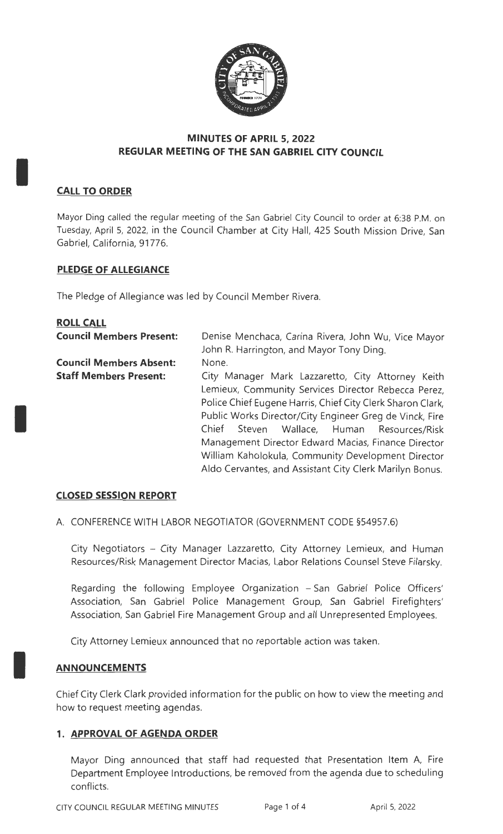

# **MINUTES OF APRIL 5, 2022 REGULAR MEETING OF THE SAN GABRIEL CITY COUNCIL**

# **CALL TO ORDER**

I

I

Mayor Ding called the regular meeting of the San Gabriel City Council to order at 6:38 P.M. on Tuesday, April 5, 2022, in the Council Chamber at City Hall, 425 South Mission Drive, San Gabriel, California, 91776.

# **PLEDGE OF ALLEGIANCE**

The Pledge of Allegiance was led by Council Member Rivera.

| Denise Menchaca, Carina Rivera, John Wu, Vice Mayor        |
|------------------------------------------------------------|
| John R. Harrington, and Mayor Tony Ding.                   |
| None.                                                      |
| City Manager Mark Lazzaretto, City Attorney Keith          |
| Lemieux, Community Services Director Rebecca Perez,        |
| Police Chief Eugene Harris, Chief City Clerk Sharon Clark, |
| Public Works Director/City Engineer Greg de Vinck, Fire    |
| Chief<br>Steven Wallace, Human Resources/Risk              |
| Management Director Edward Macias, Finance Director        |
| William Kaholokula, Community Development Director         |
| Aldo Cervantes, and Assistant City Clerk Marilyn Bonus.    |
|                                                            |

### **CLOSED SESSION REPORT**

A. CONFERENCE WITH LABOR NEGOTIATOR (GOVERNMENT CODE §54957.6)

City Negotiators - City Manager Lazzaretto, City Attorney Lemieux, and Human Resources/Risk Management Director Macias, Labor Relations Counsel Steve Filarsky.

Regarding the following Employee Organization - San Gabriel Police Officers' Association, San Gabriel Police Management Group, San Gabriel Firefighters' Association, San Gabriel Fire Management Group and all Unrepresented Employees.

City Attorney Lemieux announced that no reportable action was taken.

### **ANNOUNCEMENTS**

Chief City Clerk Clark provided information for the public on how to view the meeting and how to request meeting agendas.

### **1. APPROVAL OF AGENDA ORDER**

Mayor Ding announced that staff had requested that Presentation Item A, Fire Department Employee Introductions, be removed from the agenda due to scheduling conflicts.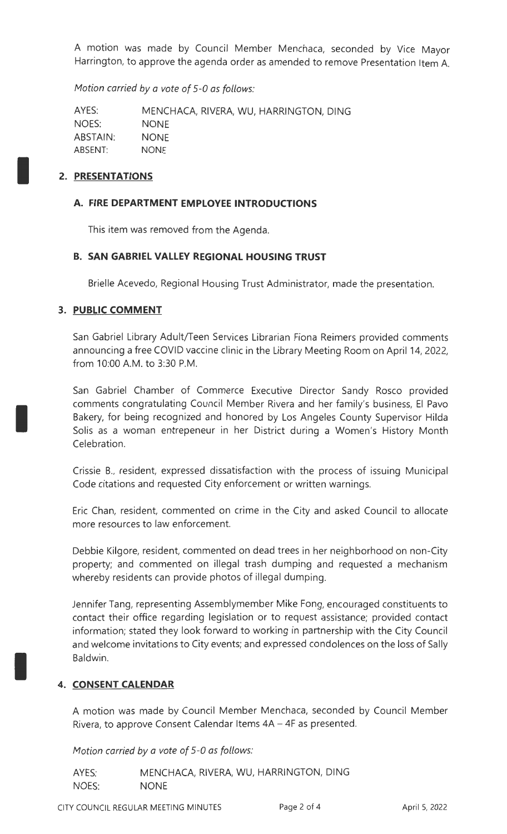A motion was made by Council Member Menchaca, seconded by Vice Mayor Harrington, to approve the agenda order as amended to remove Presentation Item A.

Motion carried *by* a vote of 5-0 as follows:

AYES: NOES: ABSTAIN: ABSENT: NONE MENCHACA, RIVERA, WU, HARRINGTON, DING NONE NONE

### **2. PRESENTATIONS**

I

I

I

### **A. FIRE DEPARTMENT EMPLOYEE INTRODUCTIONS**

This item was removed from the Agenda.

## **B. SAN GABRIEL VALLEY REGIONAL HOUSING TRUST**

Brielle Acevedo, Regional Housing Trust Administrator, made the presentation.

## **3. PUBLIC COMMENT**

San Gabriel Library Adult/Teen Services Librarian Fiona Reimers provided comments announcing a free COVID vaccine clinic in the Library Meeting Room on April 14, 2022, from 10:00 A.M. to 3:30 P.M.

San Gabriel Chamber of Commerce Executive Director Sandy Rosco provided comments congratulating Council Member Rivera and her family's business, El Pavo Bakery, for being recognized and honored by Los Angeles County Supervisor Hilda Solis as a woman entrepeneur in her District during a Women's History Month Celebration.

Crissie B., resident, expressed dissatisfaction with the process of issuing Municipal Code citations and requested City enforcement or written warnings.

Eric Chan, resident, commented on crime in the City and asked Council to allocate more resources to law enforcement.

Debbie Kilgore, resident, commented on dead trees in her neighborhood on non-City property; and commented on illegal trash dumping and requested a mechanism whereby residents can provide photos of illegal dumping.

Jennifer Tang, representing Assemblymember Mike Fong, encouraged constituents to contact their office regarding legislation or to request assistance; provided contact information; stated they look forward to working in partnership with the City Council and welcome invitations to City events; and expressed condolences on the loss of Sally Baldwin.

### **4. CONSENT CALENDAR**

A motion was made by Council Member Menchaca, seconded by Council Member Rivera, to approve Consent Calendar Items 4A - 4F as presented.

Motion carried *by* a vote of 5-0 as follows:

AYES: NOES: MENCHACA, RIVERA, WU, HARRINGTON, DING NONE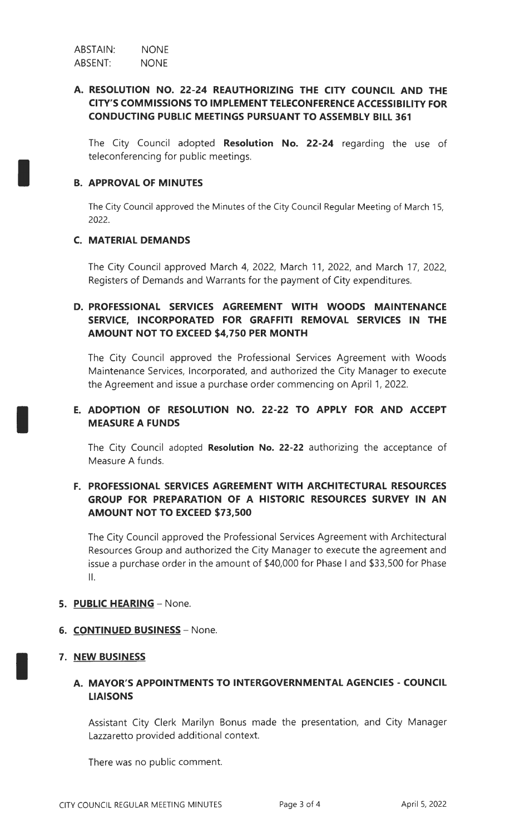# A. RESOLUTION NO. 22-24 REAUTHORIZING THE CITY COUNCIL AND THE CITY'S COMMISSIONS TO IMPLEMENT TELECONFERENCE ACCESSIBILITY FOR CONDUCTING PUBLIC MEETINGS PURSUANT TO ASSEMBLY BILL 361

The City Council adopted Resolution No. 22-24 regarding the use of teleconferencing for public meetings.

#### B. APPROVAL OF MINUTES

I

I

I

The City Council approved the Minutes of the City Council Regular Meeting of March 15, 2022.

#### C. MATERIAL DEMANDS

The City Council approved March 4, 2022, March 11, 2022, and March 17, 2022, Registers of Demands and Warrants for the payment of City expenditures.

# D. PROFESSIONAL SERVICES AGREEMENT WITH WOODS MAINTENANCE SERVICE, INCORPORATED FOR GRAFFITI REMOVAL SERVICES IN THE AMOUNT NOT TO EXCEED \$4,750 PER MONTH

The City Council approved the Professional Services Agreement with Woods Maintenance Services, Incorporated, and authorized the City Manager to execute the Agreement and issue a purchase order commencing on April 1, 2022.

## E. ADOPTION OF RESOLUTION NO. 22-22 TO APPLY FOR AND ACCEPT MEASURE A FUNDS

The City Council adopted Resolution No. 22-22 authorizing the acceptance of Measure A funds.

# F. PROFESSIONAL SERVICES AGREEMENT WITH ARCHITECTURAL RESOURCES GROUP FOR PREPARATION OF A HISTORIC RESOURCES SURVEY IN AN AMOUNT NOT TO EXCEED \$73,500

The City Council approved the Professional Services Agreement with Architectural Resources Group and authorized the City Manager to execute the agreement and issue a purchase order in the amount of \$40,000 for Phase I and \$33,500 for Phase 11.

### 5. PUBLIC HEARING - None.

#### 6. CONTINUED BUSINESS - None.

### 7. NEW BUSINESS

# A. MAYOR'S APPOINTMENTS TO INTERGOVERNMENTAL AGENCIES - COUNCIL LIAISONS

Assistant City Clerk Marilyn Bonus made the presentation, and City Manager Lazzaretto provided additional context.

There was no public comment.